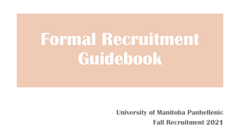# **Formal Recruitment Guidebook**

**University of Manitoba Panhellenic Fall Recruitment 2021**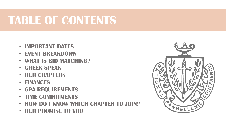### **TABLE OF CONTENTS**

- **IMPORTANT DATES**
- **EVENT BREAKDOWN**
- **WHAT IS BID MATCHING?**
- **GREEK SPEAK**
- **OUR CHAPTERS**
- **FINANCES**
- **GPA REQUIREMENTS**
- **TIME COMMITMENTS**
- **HOW DO I KNOW WHICH CHAPTER TO JOIN?**
- **OUR PROMISE TO YOU**

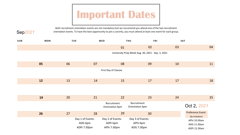## **Important Dates**

Both recruitment orientation events are not mandatory but we reccomend you attend one of the two recruitment orientation events. To have the best opportunity to join a sorority, you must attend at least one event for each group.

Sep*2021*

| SUN | <b>MON</b> |    | <b>TUE</b>                                 | WED                                         | <b>THU</b>                                        | FRI | SAT                                         |
|-----|------------|----|--------------------------------------------|---------------------------------------------|---------------------------------------------------|-----|---------------------------------------------|
|     |            |    |                                            | 01                                          | 02                                                | 03  | 04                                          |
|     |            |    |                                            |                                             | University Prep Week Aug. 30, 2021 - Sep. 3, 2021 |     |                                             |
|     | 05         | 06 | 07                                         | 08                                          | 09                                                | 10  | 11                                          |
|     |            |    |                                            | First Day of Classes                        |                                                   |     |                                             |
|     | 12         | 13 | 14                                         | 15                                          | 17                                                | 17  | 18                                          |
|     |            |    |                                            |                                             |                                                   |     |                                             |
|     | 19         | 20 | 21                                         | 22                                          | 23                                                | 24  | 25                                          |
|     |            |    |                                            | Recruitment<br>Orientation 6pm              | Recruitment<br>Orientation 6pm                    |     | Oct 2, 2021                                 |
|     | 26         | 27 | 28                                         | 29                                          | 30                                                |     | Preference Event:<br>(by invitation)        |
|     |            |    | Day 1 of Events:<br>ADG 6pm<br>ADPi 7:30pm | Day 2 of Events:<br>ADPi 6pm<br>APhi 7:30pm | Day 3 of Events:<br>APhi 6pm<br>ADG 7:30pm        |     | APhi 10:30am<br>ADG 11:30am<br>ADPi 12:30am |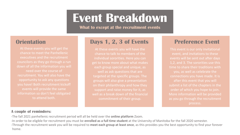### **Event Breakdown**

**What to except at the recruitment events**

At these events you will get the chance to meet the Panhellenic executives and the recruitment councilors as they go through a run need over the course of recruitment. You will also have the opportunity to ask any questions you have! Both recruitment kickoff events will provide the same information so don't feel obligated to attend both.

#### **Orientation Bays 1, 2, 3 of Events Preference Event**

chance to talk to members of the individual sororities. Here you can get to know more about what makes each group special and unique, as targeted at the specific groups. The groups will also give a presentation on their philanthropy and how they support and raise money for it, as well as a break down of the financial

This event is our only invitational event, and invitations to these events will be sent out after days 1,2, and 3. The sororities use this time to share their traditions with connections you have made. It is after this event that you will submit a list of the chapters in the order of which you hope to join. More information will be provided as you go through the recruitment

#### **A couple of reminders:**

-The fall 2021 panhellenic recruitment period will all be held over the **online platform** Zoom.

-In order to be eligible for recruitment you must be *enrolled* as a full time student at the University of Manitoba for the fall 2020 semester. -Through the recruitment week you will be required to meet each group at least once, as this provides you the best opportunity to find your forever home.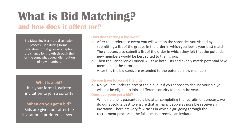# **What is Bid Matching?**

#### **and how does it affect me?**

Bid Matching is a mutual selection process used during formal recruitment that gives all chapters the chance for growth through the for the somewhat equal distribution of new members

**What is a bid?** It is your formal, written invitation to join a sorority

**When do you get a bid?** Bids are given out after the invitational preference event.

#### **How does getting a bid work?**

- $\circ$  After the preference event you will vote on the sororities you visited by submitting a list of the groups in the order in which you feel is your best match
- $\circ$  The chapters also submit a list of the order in which they felt that the potential new members would be best suited to their group.
- $\circ$  Then the Panhellenic Council will take both lists and evenly match potential new members to the sororities.
- $\circ$  After this the bid cards are extended to the potential new members

#### Do you have to accept the bid?

 $\circ$  No, you are under to accept the bid, but if you choose to decline your bid you will not be eligible to join a different sorority for an entire year.

#### Does everyone get a bid?

 $\circ$  While no one is guaranteed a bid after completing the recruitment process, we do our absolute best to ensure that as many people as possible receive an invitation. There are very few cases in which a girl going through the recruitment process in the fall does not receive an invitation.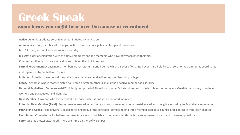### **Greek Speak**

#### **some terms you might hear over the course of recruitment**

Active: An undergraduate sorority member initiated by her chapter

**Alumna**: A sorority member who has graduated from their collegiate chapter; plural is alumnae.

**Bid**: A formal, written invitation to join a sorority

**Bid Day**: a day of celebration with the active members and the members who have newly accepted their bids

**Chapter:** another word for an individual sorority on the UofM campus

Formal Recruitment: A designated membership recruitment period during which a series of organized events are held by each sorority; recruitment is coordinated and supervised by Panhellenic Council.

**Initiation**: Ritualistic ceremony during which new members receive life-long membership privileges.

**Legacy**: A woman whose mother, sister, half-sister, or grandmother is an alumna or active member of a sorority.

**National Panhellenic Conference (NPC)**: A body composed of 26 national women's fraternities, each of which is autonomous as a Greek-letter society of college women, undergraduates, and alumnae.

**New Member:** A woman who has accepted a sorority bid but is not yet an initiated member.

Potential New Member (PNM): Any woman interested in becoming a sorority member who has matriculated and is eligible according to Panhellenic requirements.

**Panhellenic Council:** The university based governing body of the sororities; composed of a three member executive council, and a delegate from each chapter.

**Recruitment Counselor**: A Panhellenic representative who is available to guide women through the recruitment process and to answer questions.

**Sorority:** Greek-letter sisterhood. There are three on the UofM campus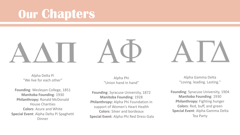## **Our Chapters**

Alpha Delta Pi "We live for each other"

**Founding: Wesleyan College, 1851 Manitoba Founding: 1930 Philanthropy: Ronald McDonald House Charities Colors:** Azure and White **Special Event:** Alpha Delta Pi Spaghetti Dinner

Alpha Phi "Union hand in hand"

**Founding:** Syracuse University, 1872 **Manitoba Founding: 1928 Philanthropy:** Alpha Phi Foundation in support of Women's Heart Health **Colors:** Silver and bordeaux **Special Event:** Alpha Phi Red Dress Gala

Alpha Gamma Delta "Loving. leading. Lasting."

**Founding:** Syracuse University, 1904 **Manitoba Founding: 1930 Philanthropy:** Fighting hunger **Colors**: Red, buff, and green **Special Event: Alpha Gamma Delta** Tea Party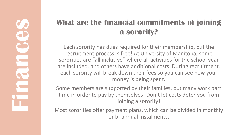### **What are the financial commitments of joining a sorority?**

Each sorority has dues required for their membership, but the recruitment process is free! At University of Manitoba, some sororities are "all inclusive" where all activities for the school year are included, and others have additional costs. During recruitment, each sorority will break down their fees so you can see how your money is being spent.

Some members are supported by their families, but many work part time in order to pay by themselves! Don't let costs deter you from joining a sorority!

Most sororities offer payment plans, which can be divided in monthly or bi-annual instalments.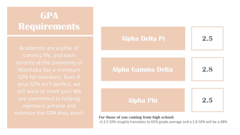### **GPA Requirements**

Academics are a pillar of sorority life, and each sorority at the University of Manitoba has a minimum GPA for members. Even if your GPA isn't perfect, we still want to meet you! We are committed to helping members achieve and maintain the GPA they want!<br>**For those of you coming from high school:** 



-A 2.5 GPA roughly translates to 65% grade average and a 2.8 GPA will be a 68%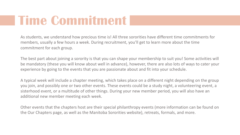## **Time Commitment**

As students, we understand how precious time is! All three sororities have different time commitments for members, usually a few hours a week. During recruitment, you'll get to learn more about the time commitment for each group.

The best part about joining a sorority is that you can shape your membership to suit you! Some activities will be mandatory (these you will know about well in advance), however, there are also lots of ways to cater your experience by going to the events that you are passionate about and fit into your schedule.

A typical week will include a chapter meeting, which takes place on a different night depending on the group you join, and possibly one or two other events. These events could be a study night, a volunteering event, a sisterhood event, or a multitude of other things. During your new member period, you will also have an additional new member meeting each week.

Other events that the chapters host are their special philanthropy events (more information can be found on the Our Chapters page, as well as the Manitoba Sororities website), retreats, formals, and more.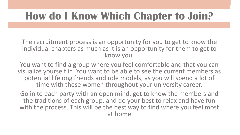### **How do I Know Which Chapter to Join?**

The recruitment process is an opportunity for you to get to know the individual chapters as much as it is an opportunity for them to get to know you. 

You want to find a group where you feel comfortable and that you can visualize yourself in. You want to be able to see the current members as potential lifelong friends and role models, as you will spend a lot of time with these women throughout your university career.

Go in to each party with an open mind, get to know the members and the traditions of each group, and do your best to relax and have fun with the process. This will be the best way to find where you feel most at home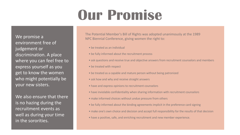# **Our Promise**

We promise a environment free of judgement or discrimination. A place where you can feel free to express yourself as you get to know the women who might potentially be your new sisters.

We also ensure that there is no hazing during the recruitment events as well as during your time in the sororities.

The Potential Member's Bill of Rights was adopted unanimously at the 1989 NPC Biennial Conference, giving women the right to:

- $\bullet$  be treated as an individual
- be fully informed about the recruitment process
- ask questions and receive true and objective answers from recruitment counselors and members
- be treated with respect
- be treated as a capable and mature person without being patronized
- ask how and why and receive straight answers
- have and express opinions to recruitment counselors
- have inviolable confidentiality when sharing information with recruitment counselors
- make informed choices without undue pressure from others
- be fully informed about the binding agreements implicit in the preference card signing
- make one's own choice and decision and accept full responsibility for the results of that decision
- have a positive, safe, and enriching recruitment and new member experience.